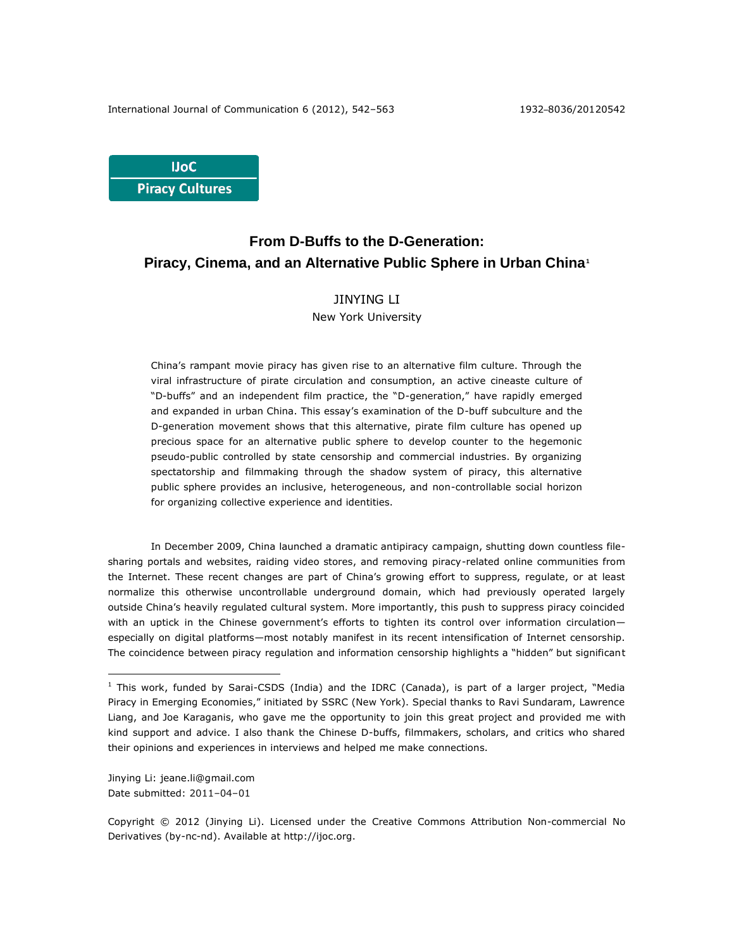**IJoC Piracy Cultures** 

# **From D-Buffs to the D-Generation: Piracy, Cinema, and an Alternative Public Sphere in Urban China<sup>1</sup>**

## JINYING LI

New York University

China's rampant movie piracy has given rise to an alternative film culture. Through the viral infrastructure of pirate circulation and consumption, an active cineaste culture of "D-buffs" and an independent film practice, the "D-generation," have rapidly emerged and expanded in urban China. This essay's examination of the D-buff subculture and the D-generation movement shows that this alternative, pirate film culture has opened up precious space for an alternative public sphere to develop counter to the hegemonic pseudo-public controlled by state censorship and commercial industries. By organizing spectatorship and filmmaking through the shadow system of piracy, this alternative public sphere provides an inclusive, heterogeneous, and non-controllable social horizon for organizing collective experience and identities.

In December 2009, China launched a dramatic antipiracy campaign, shutting down countless filesharing portals and websites, raiding video stores, and removing piracy-related online communities from the Internet. These recent changes are part of China's growing effort to suppress, regulate, or at least normalize this otherwise uncontrollable underground domain, which had previously operated largely outside China's heavily regulated cultural system. More importantly, this push to suppress piracy coincided with an uptick in the Chinese government's efforts to tighten its control over information circulationespecially on digital platforms—most notably manifest in its recent intensification of Internet censorship. The coincidence between piracy regulation and information censorship highlights a "hidden" but significant

Jinying Li: [jeane.li@gmail.com](mailto:jeane.li@gmail.com) Date submitted: 2011–04–01

 $\overline{a}$ 

Copyright © 2012 (Jinying Li). Licensed under the Creative Commons Attribution Non-commercial No Derivatives (by-nc-nd). Available at http://ijoc.org.

<sup>&</sup>lt;sup>1</sup> This work, funded by Sarai-CSDS (India) and the IDRC (Canada), is part of a larger project, "Media Piracy in Emerging Economies," initiated by SSRC (New York). Special thanks to Ravi Sundaram, Lawrence Liang, and Joe Karaganis, who gave me the opportunity to join this great project and provided me with kind support and advice. I also thank the Chinese D-buffs, filmmakers, scholars, and critics who shared their opinions and experiences in interviews and helped me make connections.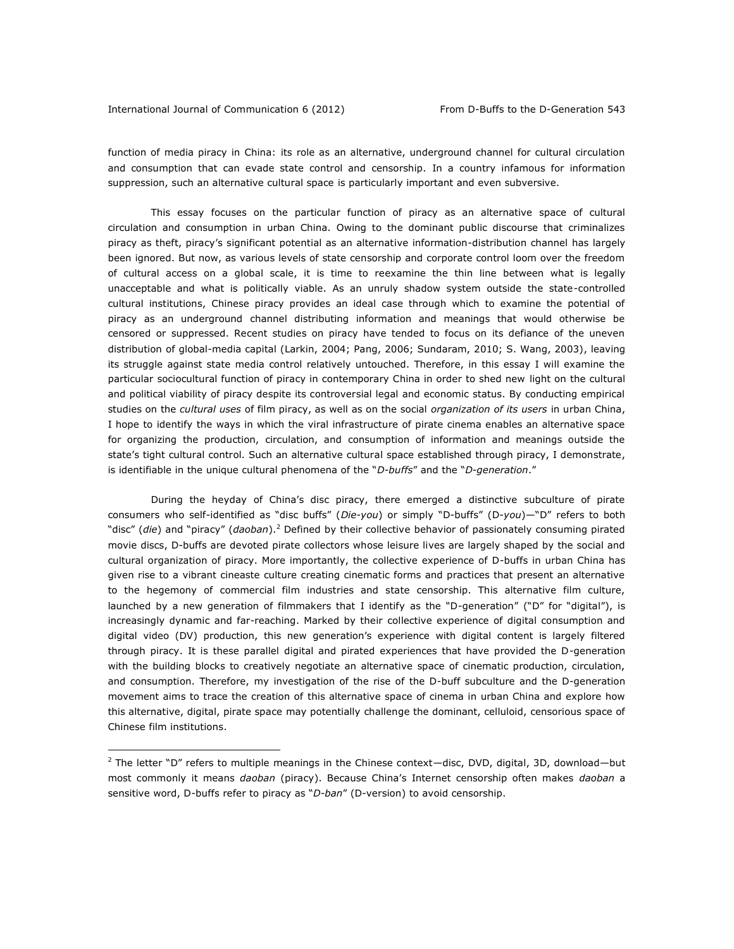### International Journal of Communication 6 (2012) From D-Buffs to the D-Generation 543

 $\overline{a}$ 

function of media piracy in China: its role as an alternative, underground channel for cultural circulation and consumption that can evade state control and censorship. In a country infamous for information suppression, such an alternative cultural space is particularly important and even subversive.

This essay focuses on the particular function of piracy as an alternative space of cultural circulation and consumption in urban China. Owing to the dominant public discourse that criminalizes piracy as theft, piracy's significant potential as an alternative information-distribution channel has largely been ignored. But now, as various levels of state censorship and corporate control loom over the freedom of cultural access on a global scale, it is time to reexamine the thin line between what is legally unacceptable and what is politically viable. As an unruly shadow system outside the state-controlled cultural institutions, Chinese piracy provides an ideal case through which to examine the potential of piracy as an underground channel distributing information and meanings that would otherwise be censored or suppressed. Recent studies on piracy have tended to focus on its defiance of the uneven distribution of global-media capital (Larkin, 2004; Pang, 2006; Sundaram, 2010; S. Wang, 2003), leaving its struggle against state media control relatively untouched. Therefore, in this essay I will examine the particular sociocultural function of piracy in contemporary China in order to shed new light on the cultural and political viability of piracy despite its controversial legal and economic status. By conducting empirical studies on the *cultural uses* of film piracy, as well as on the social *organization of its users* in urban China, I hope to identify the ways in which the viral infrastructure of pirate cinema enables an alternative space for organizing the production, circulation, and consumption of information and meanings outside the state's tight cultural control. Such an alternative cultural space established through piracy, I demonstrate, is identifiable in the unique cultural phenomena of the "*D-buffs*" and the "*D-generation*."

During the heyday of China's disc piracy, there emerged a distinctive subculture of pirate consumers who self-identified as "disc buffs" (*Die-you*) or simply "D-buffs" (D-*you*)—"D" refers to both "disc" (*die*) and "piracy" (*daoban*).<sup>2</sup> Defined by their collective behavior of passionately consuming pirated movie discs, D-buffs are devoted pirate collectors whose leisure lives are largely shaped by the social and cultural organization of piracy. More importantly, the collective experience of D-buffs in urban China has given rise to a vibrant cineaste culture creating cinematic forms and practices that present an alternative to the hegemony of commercial film industries and state censorship. This alternative film culture, launched by a new generation of filmmakers that I identify as the "D-generation" ("D" for "digital"), is increasingly dynamic and far-reaching. Marked by their collective experience of digital consumption and digital video (DV) production, this new generation's experience with digital content is largely filtered through piracy. It is these parallel digital and pirated experiences that have provided the D-generation with the building blocks to creatively negotiate an alternative space of cinematic production, circulation, and consumption. Therefore, my investigation of the rise of the D-buff subculture and the D-generation movement aims to trace the creation of this alternative space of cinema in urban China and explore how this alternative, digital, pirate space may potentially challenge the dominant, celluloid, censorious space of Chinese film institutions.

 $2$  The letter "D" refers to multiple meanings in the Chinese context—disc, DVD, digital, 3D, download—but most commonly it means *daoban* (piracy). Because China's Internet censorship often makes *daoban* a sensitive word, D-buffs refer to piracy as "*D-ban*" (D-version) to avoid censorship.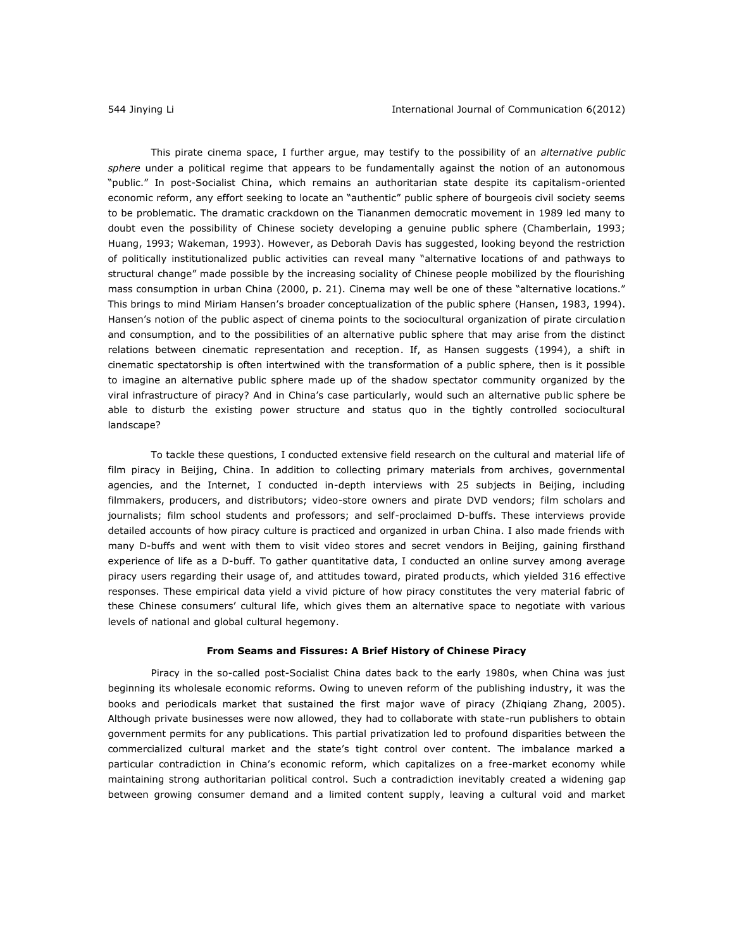This pirate cinema space, I further argue, may testify to the possibility of an *alternative public sphere* under a political regime that appears to be fundamentally against the notion of an autonomous "public." In post-Socialist China, which remains an authoritarian state despite its capitalism-oriented economic reform, any effort seeking to locate an "authentic" public sphere of bourgeois civil society seems to be problematic. The dramatic crackdown on the Tiananmen democratic movement in 1989 led many to doubt even the possibility of Chinese society developing a genuine public sphere (Chamberlain, 1993; Huang, 1993; Wakeman, 1993). However, as Deborah Davis has suggested, looking beyond the restriction of politically institutionalized public activities can reveal many "alternative locations of and pathways to structural change" made possible by the increasing sociality of Chinese people mobilized by the flourishing mass consumption in urban China (2000, p. 21). Cinema may well be one of these "alternative locations." This brings to mind Miriam Hansen's broader conceptualization of the public sphere (Hansen, 1983, 1994). Hansen's notion of the public aspect of cinema points to the sociocultural organization of pirate circulation and consumption, and to the possibilities of an alternative public sphere that may arise from the distinct relations between cinematic representation and reception. If, as Hansen suggests (1994), a shift in cinematic spectatorship is often intertwined with the transformation of a public sphere, then is it possible to imagine an alternative public sphere made up of the shadow spectator community organized by the viral infrastructure of piracy? And in China's case particularly, would such an alternative public sphere be able to disturb the existing power structure and status quo in the tightly controlled sociocultural landscape?

To tackle these questions, I conducted extensive field research on the cultural and material life of film piracy in Beijing, China. In addition to collecting primary materials from archives, governmental agencies, and the Internet, I conducted in-depth interviews with 25 subjects in Beijing, including filmmakers, producers, and distributors; video-store owners and pirate DVD vendors; film scholars and journalists; film school students and professors; and self-proclaimed D-buffs. These interviews provide detailed accounts of how piracy culture is practiced and organized in urban China. I also made friends with many D-buffs and went with them to visit video stores and secret vendors in Beijing, gaining firsthand experience of life as a D-buff. To gather quantitative data, I conducted an online survey among average piracy users regarding their usage of, and attitudes toward, pirated products, which yielded 316 effective responses. These empirical data yield a vivid picture of how piracy constitutes the very material fabric of these Chinese consumers' cultural life, which gives them an alternative space to negotiate with various levels of national and global cultural hegemony.

### **From Seams and Fissures: A Brief History of Chinese Piracy**

Piracy in the so-called post-Socialist China dates back to the early 1980s, when China was just beginning its wholesale economic reforms. Owing to uneven reform of the publishing industry, it was the books and periodicals market that sustained the first major wave of piracy (Zhiqiang Zhang, 2005). Although private businesses were now allowed, they had to collaborate with state-run publishers to obtain government permits for any publications. This partial privatization led to profound disparities between the commercialized cultural market and the state's tight control over content. The imbalance marked a particular contradiction in China's economic reform, which capitalizes on a free-market economy while maintaining strong authoritarian political control. Such a contradiction inevitably created a widening gap between growing consumer demand and a limited content supply, leaving a cultural void and market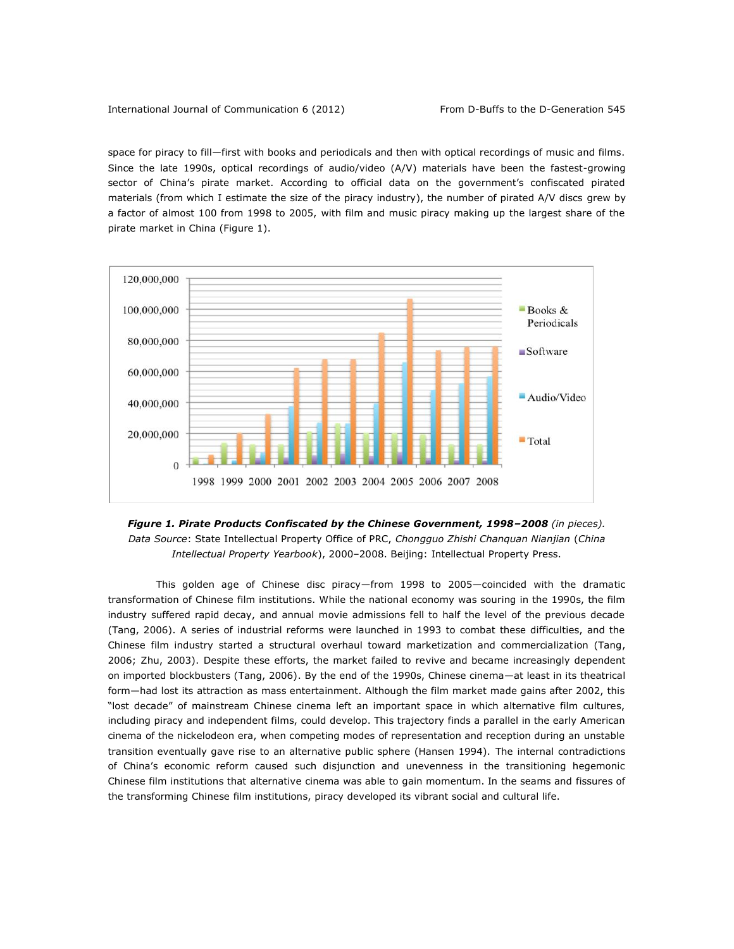space for piracy to fill—first with books and periodicals and then with optical recordings of music and films. Since the late 1990s, optical recordings of audio/video (A/V) materials have been the fastest-growing sector of China's pirate market. According to official data on the government's confiscated pirated materials (from which I estimate the size of the piracy industry), the number of pirated A/V discs grew by a factor of almost 100 from 1998 to 2005, with film and music piracy making up the largest share of the pirate market in China (Figure 1).





This golden age of Chinese disc piracy—from 1998 to 2005—coincided with the dramatic transformation of Chinese film institutions. While the national economy was souring in the 1990s, the film industry suffered rapid decay, and annual movie admissions fell to half the level of the previous decade (Tang, 2006). A series of industrial reforms were launched in 1993 to combat these difficulties, and the Chinese film industry started a structural overhaul toward marketization and commercialization (Tang, 2006; Zhu, 2003). Despite these efforts, the market failed to revive and became increasingly dependent on imported blockbusters (Tang, 2006). By the end of the 1990s, Chinese cinema—at least in its theatrical form—had lost its attraction as mass entertainment. Although the film market made gains after 2002, this "lost decade" of mainstream Chinese cinema left an important space in which alternative film cultures, including piracy and independent films, could develop. This trajectory finds a parallel in the early American cinema of the nickelodeon era, when competing modes of representation and reception during an unstable transition eventually gave rise to an alternative public sphere (Hansen 1994). The internal contradictions of China's economic reform caused such disjunction and unevenness in the transitioning hegemonic Chinese film institutions that alternative cinema was able to gain momentum. In the seams and fissures of the transforming Chinese film institutions, piracy developed its vibrant social and cultural life.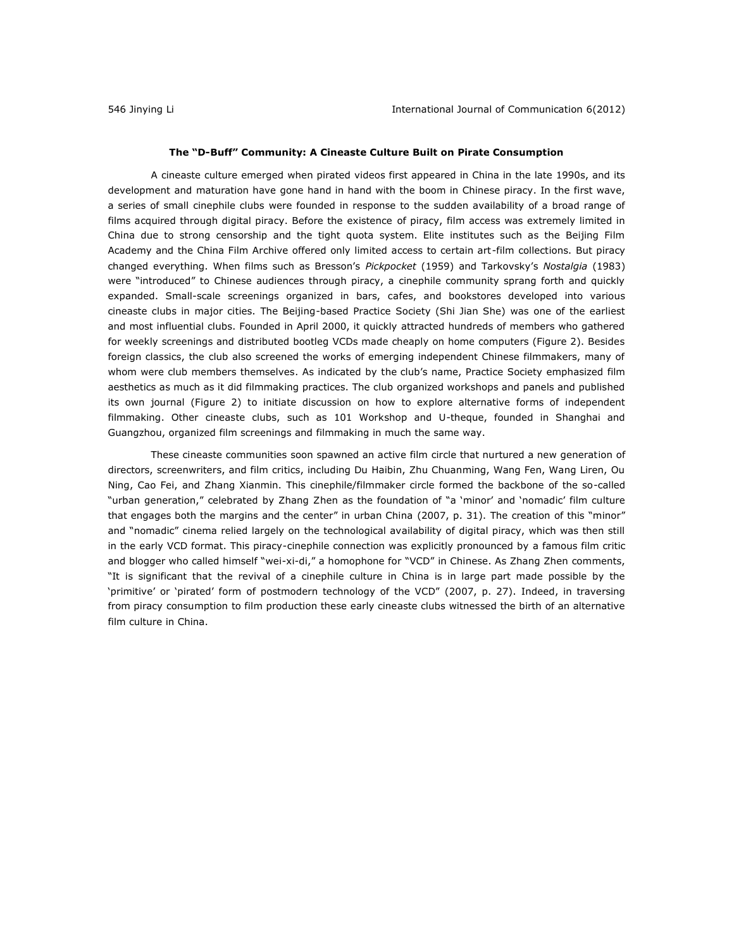### **The "D-Buff" Community: A Cineaste Culture Built on Pirate Consumption**

A cineaste culture emerged when pirated videos first appeared in China in the late 1990s, and its development and maturation have gone hand in hand with the boom in Chinese piracy. In the first wave, a series of small cinephile clubs were founded in response to the sudden availability of a broad range of films acquired through digital piracy. Before the existence of piracy, film access was extremely limited in China due to strong censorship and the tight quota system. Elite institutes such as the Beijing Film Academy and the China Film Archive offered only limited access to certain art-film collections. But piracy changed everything. When films such as Bresson's *Pickpocket* (1959) and Tarkovsky's *Nostalgia* (1983) were "introduced" to Chinese audiences through piracy, a cinephile community sprang forth and quickly expanded. Small-scale screenings organized in bars, cafes, and bookstores developed into various cineaste clubs in major cities. The Beijing-based Practice Society (Shi Jian She) was one of the earliest and most influential clubs. Founded in April 2000, it quickly attracted hundreds of members who gathered for weekly screenings and distributed bootleg VCDs made cheaply on home computers (Figure 2). Besides foreign classics, the club also screened the works of emerging independent Chinese filmmakers, many of whom were club members themselves. As indicated by the club's name, Practice Society emphasized film aesthetics as much as it did filmmaking practices. The club organized workshops and panels and published its own journal (Figure 2) to initiate discussion on how to explore alternative forms of independent filmmaking. Other cineaste clubs, such as 101 Workshop and U-theque, founded in Shanghai and Guangzhou, organized film screenings and filmmaking in much the same way.

These cineaste communities soon spawned an active film circle that nurtured a new generation of directors, screenwriters, and film critics, including Du Haibin, Zhu Chuanming, Wang Fen, Wang Liren, Ou Ning, Cao Fei, and Zhang Xianmin. This cinephile/filmmaker circle formed the backbone of the so-called "urban generation," celebrated by Zhang Zhen as the foundation of "a 'minor' and 'nomadic' film culture that engages both the margins and the center" in urban China (2007, p. 31). The creation of this "minor" and "nomadic" cinema relied largely on the technological availability of digital piracy, which was then still in the early VCD format. This piracy-cinephile connection was explicitly pronounced by a famous film critic and blogger who called himself "wei-xi-di," a homophone for "VCD" in Chinese. As Zhang Zhen comments, "It is significant that the revival of a cinephile culture in China is in large part made possible by the 'primitive' or 'pirated' form of postmodern technology of the VCD" (2007, p. 27). Indeed, in traversing from piracy consumption to film production these early cineaste clubs witnessed the birth of an alternative film culture in China.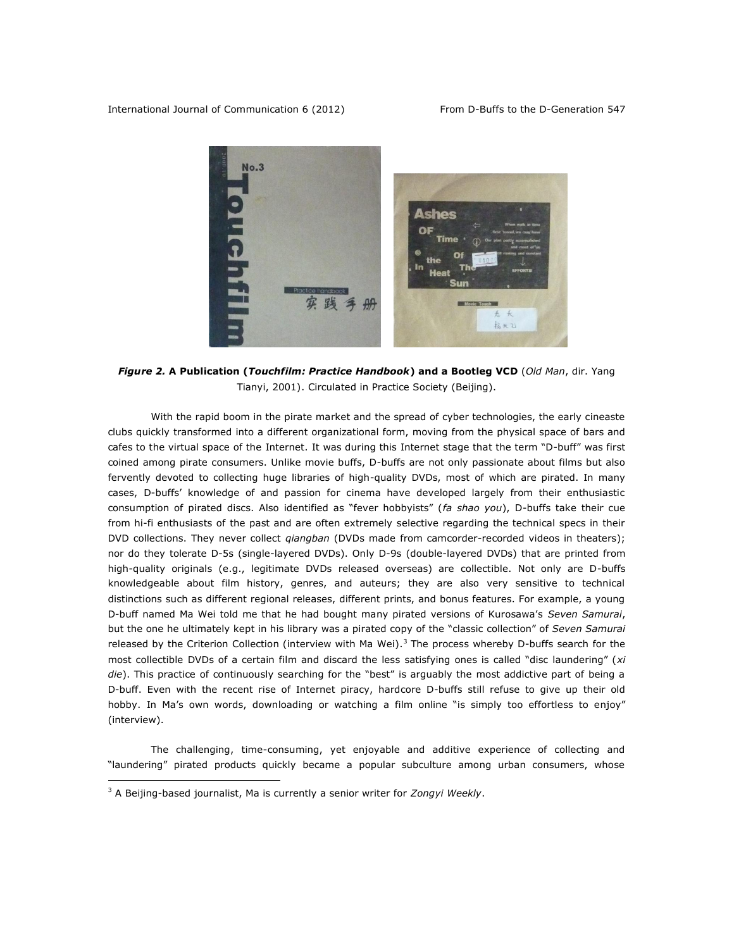

*Figure 2.* **A Publication (***Touchfilm: Practice Handbook***) and a Bootleg VCD** (*Old Man*, dir. Yang Tianyi, 2001). Circulated in Practice Society (Beijing).

With the rapid boom in the pirate market and the spread of cyber technologies, the early cineaste clubs quickly transformed into a different organizational form, moving from the physical space of bars and cafes to the virtual space of the Internet. It was during this Internet stage that the term "D-buff" was first coined among pirate consumers. Unlike movie buffs, D-buffs are not only passionate about films but also fervently devoted to collecting huge libraries of high-quality DVDs, most of which are pirated. In many cases, D-buffs' knowledge of and passion for cinema have developed largely from their enthusiastic consumption of pirated discs. Also identified as "fever hobbyists" (*fa shao you*), D-buffs take their cue from hi-fi enthusiasts of the past and are often extremely selective regarding the technical specs in their DVD collections. They never collect *qiangban* (DVDs made from camcorder-recorded videos in theaters); nor do they tolerate D-5s (single-layered DVDs). Only D-9s (double-layered DVDs) that are printed from high-quality originals (e.g., legitimate DVDs released overseas) are collectible. Not only are D-buffs knowledgeable about film history, genres, and auteurs; they are also very sensitive to technical distinctions such as different regional releases, different prints, and bonus features. For example, a young D-buff named Ma Wei told me that he had bought many pirated versions of Kurosawa's *Seven Samurai*, but the one he ultimately kept in his library was a pirated copy of the "classic collection" of *Seven Samurai* released by the Criterion Collection (interview with Ma Wei).<sup>3</sup> The process whereby D-buffs search for the most collectible DVDs of a certain film and discard the less satisfying ones is called "disc laundering" (*xi die*). This practice of continuously searching for the "best" is arguably the most addictive part of being a D-buff. Even with the recent rise of Internet piracy, hardcore D-buffs still refuse to give up their old hobby. In Ma's own words, downloading or watching a film online "is simply too effortless to enjoy" (interview).

The challenging, time-consuming, yet enjoyable and additive experience of collecting and "laundering" pirated products quickly became a popular subculture among urban consumers, whose

 $\overline{a}$ 

<sup>3</sup> A Beijing-based journalist, Ma is currently a senior writer for *Zongyi Weekly*.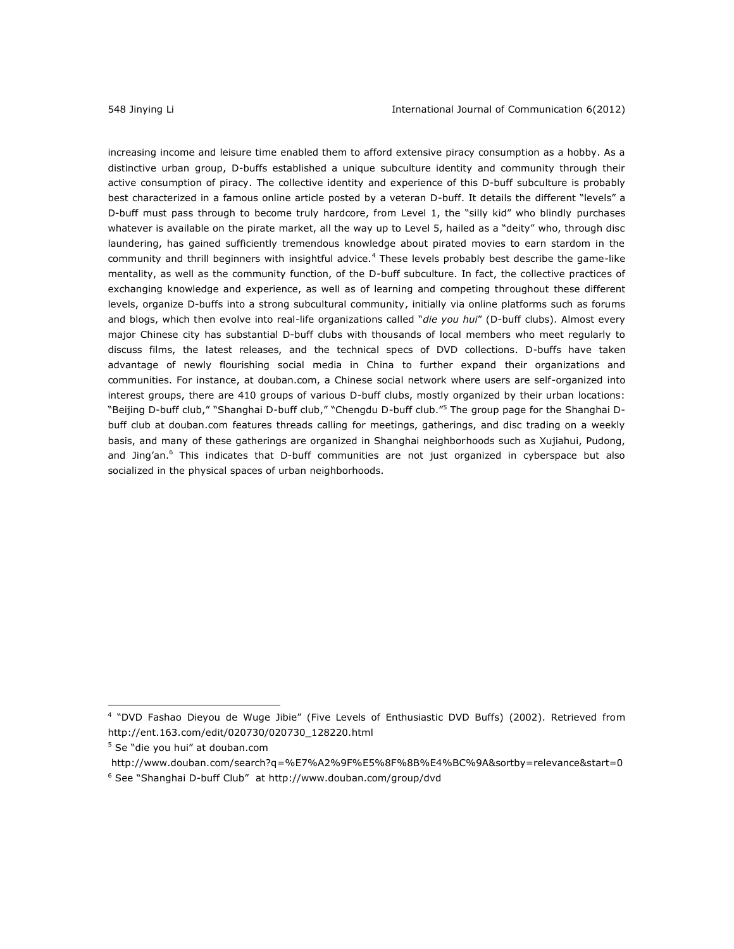increasing income and leisure time enabled them to afford extensive piracy consumption as a hobby. As a distinctive urban group, D-buffs established a unique subculture identity and community through their active consumption of piracy. The collective identity and experience of this D-buff subculture is probably best characterized in a famous online article posted by a veteran D-buff. It details the different "levels" a D-buff must pass through to become truly hardcore, from Level 1, the "silly kid" who blindly purchases whatever is available on the pirate market, all the way up to Level 5, hailed as a "deity" who, through disc laundering, has gained sufficiently tremendous knowledge about pirated movies to earn stardom in the community and thrill beginners with insightful advice.<sup>4</sup> These levels probably best describe the game-like mentality, as well as the community function, of the D-buff subculture. In fact, the collective practices of exchanging knowledge and experience, as well as of learning and competing throughout these different levels, organize D-buffs into a strong subcultural community, initially via online platforms such as forums and blogs, which then evolve into real-life organizations called "*die you hui*" (D-buff clubs). Almost every major Chinese city has substantial D-buff clubs with thousands of local members who meet regularly to discuss films, the latest releases, and the technical specs of DVD collections. D-buffs have taken advantage of newly flourishing social media in China to further expand their organizations and communities. For instance, at douban.com, a Chinese social network where users are self-organized into interest groups, there are 410 groups of various D-buff clubs, mostly organized by their urban locations: "Beijing D-buff club," "Shanghai D-buff club," "Chengdu D-buff club."<sup>5</sup> The group page for the Shanghai Dbuff club at douban.com features threads calling for meetings, gatherings, and disc trading on a weekly basis, and many of these gatherings are organized in Shanghai neighborhoods such as Xujiahui, Pudong, and Jing'an.<sup>6</sup> This indicates that D-buff communities are not just organized in cyberspace but also socialized in the physical spaces of urban neighborhoods.

 $\overline{a}$ 

<sup>4</sup> "DVD Fashao Dieyou de Wuge Jibie" (Five Levels of Enthusiastic DVD Buffs) (2002). Retrieved from [http://ent.163.com/edit/020730/020730\\_128220.html](http://ent.163.com/edit/020730/020730_128220.html)

<sup>5</sup> Se "die you hui" at douban.com

<http://www.douban.com/search?q=%E7%A2%9F%E5%8F%8B%E4%BC%9A&sortby=relevance&start=0>

<sup>6</sup> See "Shanghai D-buff Club" at <http://www.douban.com/group/dvd>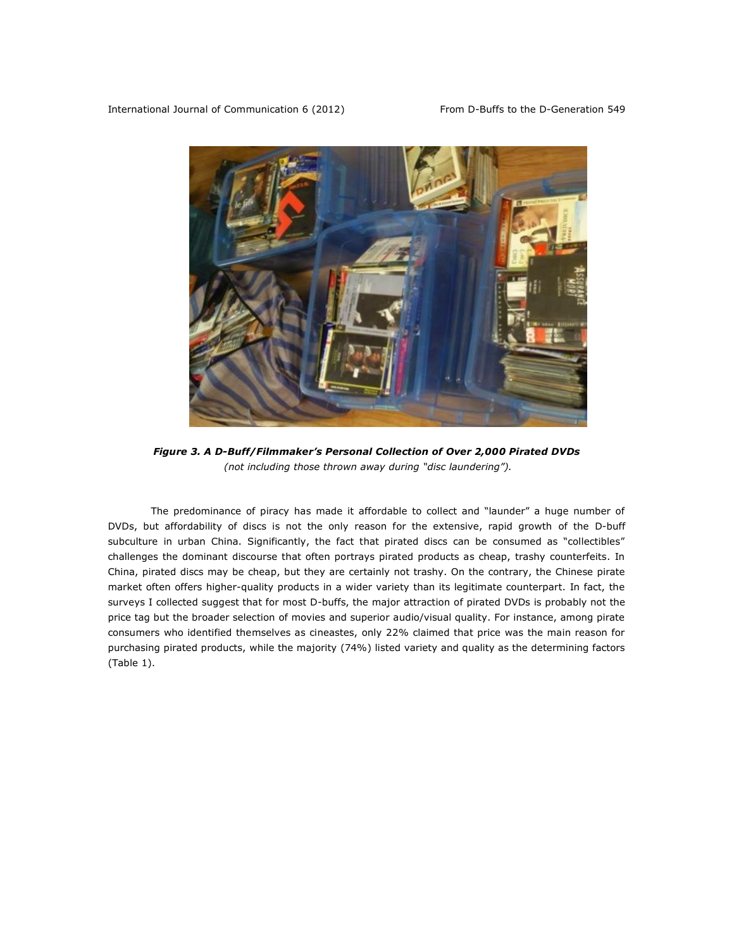International Journal of Communication 6 (2012) From D-Buffs to the D-Generation 549



*Figure 3. A D-Buff/Filmmaker's Personal Collection of Over 2,000 Pirated DVDs (not including those thrown away during "disc laundering").*

The predominance of piracy has made it affordable to collect and "launder" a huge number of DVDs, but affordability of discs is not the only reason for the extensive, rapid growth of the D-buff subculture in urban China. Significantly, the fact that pirated discs can be consumed as "collectibles" challenges the dominant discourse that often portrays pirated products as cheap, trashy counterfeits. In China, pirated discs may be cheap, but they are certainly not trashy. On the contrary, the Chinese pirate market often offers higher-quality products in a wider variety than its legitimate counterpart. In fact, the surveys I collected suggest that for most D-buffs, the major attraction of pirated DVDs is probably not the price tag but the broader selection of movies and superior audio/visual quality. For instance, among pirate consumers who identified themselves as cineastes, only 22% claimed that price was the main reason for purchasing pirated products, while the majority (74%) listed variety and quality as the determining factors (Table 1).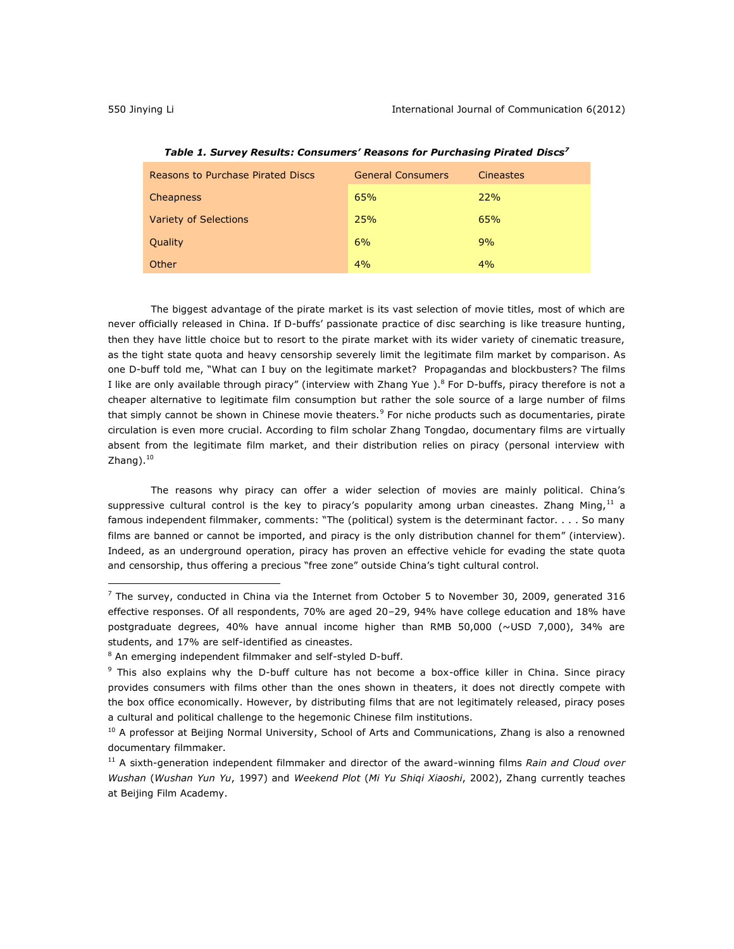| Reasons to Purchase Pirated Discs | <b>General Consumers</b> | Cineastes |
|-----------------------------------|--------------------------|-----------|
| Cheapness                         | 65%                      | 22%       |
| Variety of Selections             | 25%                      | 65%       |
| Quality                           | 6%                       | 9%        |
| Other                             | 4%                       | 4%        |

*Table 1. Survey Results: Consumers' Reasons for Purchasing Pirated Discs<sup>7</sup>*

The biggest advantage of the pirate market is its vast selection of movie titles, most of which are never officially released in China. If D-buffs' passionate practice of disc searching is like treasure hunting, then they have little choice but to resort to the pirate market with its wider variety of cinematic treasure, as the tight state quota and heavy censorship severely limit the legitimate film market by comparison. As one D-buff told me, "What can I buy on the legitimate market? Propagandas and blockbusters? The films I like are only available through piracy" (interview with Zhang Yue ).<sup>8</sup> For D-buffs, piracy therefore is not a cheaper alternative to legitimate film consumption but rather the sole source of a large number of films that simply cannot be shown in Chinese movie theaters.<sup>9</sup> For niche products such as documentaries, pirate circulation is even more crucial. According to film scholar Zhang Tongdao, documentary films are virtually absent from the legitimate film market, and their distribution relies on piracy (personal interview with Zhang). $^{10}$ 

The reasons why piracy can offer a wider selection of movies are mainly political. China's suppressive cultural control is the key to piracy's popularity among urban cineastes. Zhang Ming,<sup>11</sup> a famous independent filmmaker, comments: "The (political) system is the determinant factor. . . . So many films are banned or cannot be imported, and piracy is the only distribution channel for them" (interview). Indeed, as an underground operation, piracy has proven an effective vehicle for evading the state quota and censorship, thus offering a precious "free zone" outside China's tight cultural control.

 $<sup>7</sup>$  The survey, conducted in China via the Internet from October 5 to November 30, 2009, generated 316</sup> effective responses. Of all respondents, 70% are aged 20–29, 94% have college education and 18% have postgraduate degrees, 40% have annual income higher than RMB 50,000 (~USD 7,000), 34% are students, and 17% are self-identified as cineastes.

 $8$  An emerging independent filmmaker and self-styled D-buff.

<sup>&</sup>lt;sup>9</sup> This also explains why the D-buff culture has not become a box-office killer in China. Since piracy provides consumers with films other than the ones shown in theaters, it does not directly compete with the box office economically. However, by distributing films that are not legitimately released, piracy poses a cultural and political challenge to the hegemonic Chinese film institutions.

 $10$  A professor at Beijing Normal University, School of Arts and Communications, Zhang is also a renowned documentary filmmaker.

<sup>11</sup> A sixth-generation independent filmmaker and director of the award-winning films *Rain and Cloud over Wushan* (*Wushan Yun Yu*, 1997) and *Weekend Plot* (*Mi Yu Shiqi Xiaoshi*, 2002), Zhang currently teaches at Beijing Film Academy.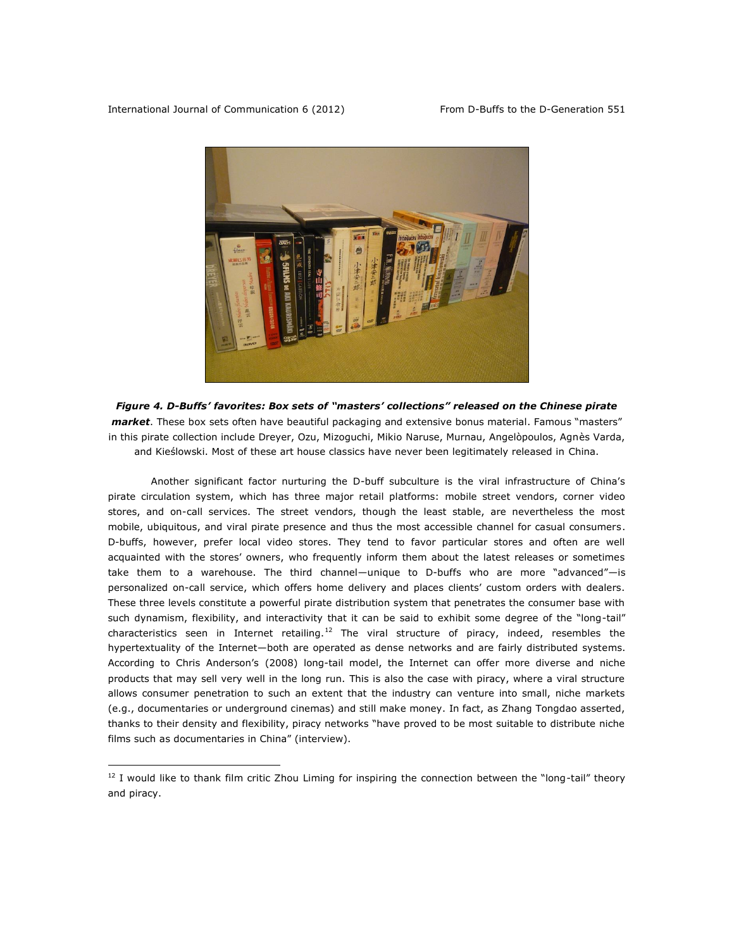### International Journal of Communication 6 (2012) From D-Buffs to the D-Generation 551

 $\overline{a}$ 



*Figure 4. D-Buffs' favorites: Box sets of "masters' collections" released on the Chinese pirate market*. These box sets often have beautiful packaging and extensive bonus material. Famous "masters" in this pirate collection include Dreyer, Ozu, Mizoguchi, Mikio Naruse, Murnau, Angelòpoulos, Agnès Varda, and Kieślowski. Most of these art house classics have never been legitimately released in China.

Another significant factor nurturing the D-buff subculture is the viral infrastructure of China's pirate circulation system, which has three major retail platforms: mobile street vendors, corner video stores, and on-call services. The street vendors, though the least stable, are nevertheless the most mobile, ubiquitous, and viral pirate presence and thus the most accessible channel for casual consumers. D-buffs, however, prefer local video stores. They tend to favor particular stores and often are well acquainted with the stores' owners, who frequently inform them about the latest releases or sometimes take them to a warehouse. The third channel—unique to D-buffs who are more "advanced"—is personalized on-call service, which offers home delivery and places clients' custom orders with dealers. These three levels constitute a powerful pirate distribution system that penetrates the consumer base with such dynamism, flexibility, and interactivity that it can be said to exhibit some degree of the "long-tail" characteristics seen in Internet retailing.<sup>12</sup> The viral structure of piracy, indeed, resembles the hypertextuality of the Internet—both are operated as dense networks and are fairly distributed systems. According to Chris Anderson's (2008) long-tail model, the Internet can offer more diverse and niche products that may sell very well in the long run. This is also the case with piracy, where a viral structure allows consumer penetration to such an extent that the industry can venture into small, niche markets (e.g., documentaries or underground cinemas) and still make money. In fact, as Zhang Tongdao asserted, thanks to their density and flexibility, piracy networks "have proved to be most suitable to distribute niche films such as documentaries in China" (interview).

 $12$  I would like to thank film critic Zhou Liming for inspiring the connection between the "long-tail" theory and piracy.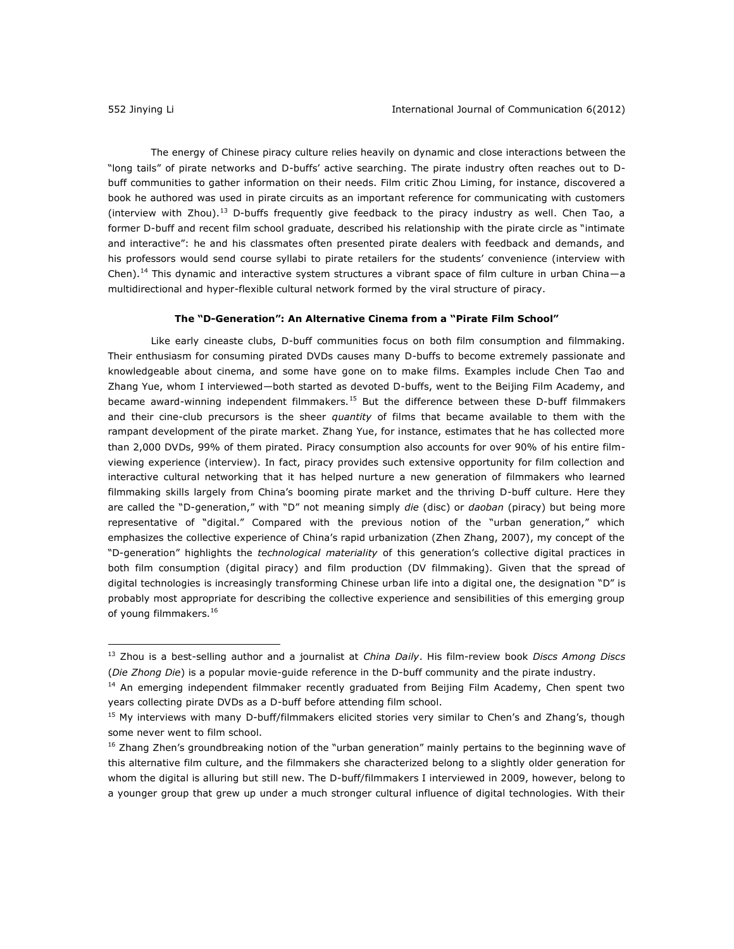The energy of Chinese piracy culture relies heavily on dynamic and close interactions between the "long tails" of pirate networks and D-buffs' active searching. The pirate industry often reaches out to Dbuff communities to gather information on their needs. Film critic Zhou Liming, for instance, discovered a book he authored was used in pirate circuits as an important reference for communicating with customers (interview with Zhou).<sup>13</sup> D-buffs frequently give feedback to the piracy industry as well. Chen Tao, a former D-buff and recent film school graduate, described his relationship with the pirate circle as "intimate and interactive": he and his classmates often presented pirate dealers with feedback and demands, and his professors would send course syllabi to pirate retailers for the students' convenience (interview with Chen).<sup>14</sup> This dynamic and interactive system structures a vibrant space of film culture in urban China-a multidirectional and hyper-flexible cultural network formed by the viral structure of piracy.

#### **The "D-Generation": An Alternative Cinema from a "Pirate Film School"**

Like early cineaste clubs, D-buff communities focus on both film consumption and filmmaking. Their enthusiasm for consuming pirated DVDs causes many D-buffs to become extremely passionate and knowledgeable about cinema, and some have gone on to make films. Examples include Chen Tao and Zhang Yue, whom I interviewed—both started as devoted D-buffs, went to the Beijing Film Academy, and became award-winning independent filmmakers.<sup>15</sup> But the difference between these D-buff filmmakers and their cine-club precursors is the sheer *quantity* of films that became available to them with the rampant development of the pirate market. Zhang Yue, for instance, estimates that he has collected more than 2,000 DVDs, 99% of them pirated. Piracy consumption also accounts for over 90% of his entire filmviewing experience (interview). In fact, piracy provides such extensive opportunity for film collection and interactive cultural networking that it has helped nurture a new generation of filmmakers who learned filmmaking skills largely from China's booming pirate market and the thriving D-buff culture. Here they are called the "D-generation," with "D" not meaning simply *die* (disc) or *daoban* (piracy) but being more representative of "digital." Compared with the previous notion of the "urban generation," which emphasizes the collective experience of China's rapid urbanization (Zhen Zhang, 2007), my concept of the "D-generation" highlights the *technological materiality* of this generation's collective digital practices in both film consumption (digital piracy) and film production (DV filmmaking). Given that the spread of digital technologies is increasingly transforming Chinese urban life into a digital one, the designation "D" is probably most appropriate for describing the collective experience and sensibilities of this emerging group of young filmmakers.<sup>16</sup>

<sup>13</sup> Zhou is a best-selling author and a journalist at *China Daily*. His film-review book *Discs Among Discs*  (*Die Zhong Die*) is a popular movie-guide reference in the D-buff community and the pirate industry.

<sup>&</sup>lt;sup>14</sup> An emerging independent filmmaker recently graduated from Beijing Film Academy, Chen spent two years collecting pirate DVDs as a D-buff before attending film school.

<sup>&</sup>lt;sup>15</sup> My interviews with many D-buff/filmmakers elicited stories very similar to Chen's and Zhang's, though some never went to film school.

<sup>&</sup>lt;sup>16</sup> Zhang Zhen's groundbreaking notion of the "urban generation" mainly pertains to the beginning wave of this alternative film culture, and the filmmakers she characterized belong to a slightly older generation for whom the digital is alluring but still new. The D-buff/filmmakers I interviewed in 2009, however, belong to a younger group that grew up under a much stronger cultural influence of digital technologies. With their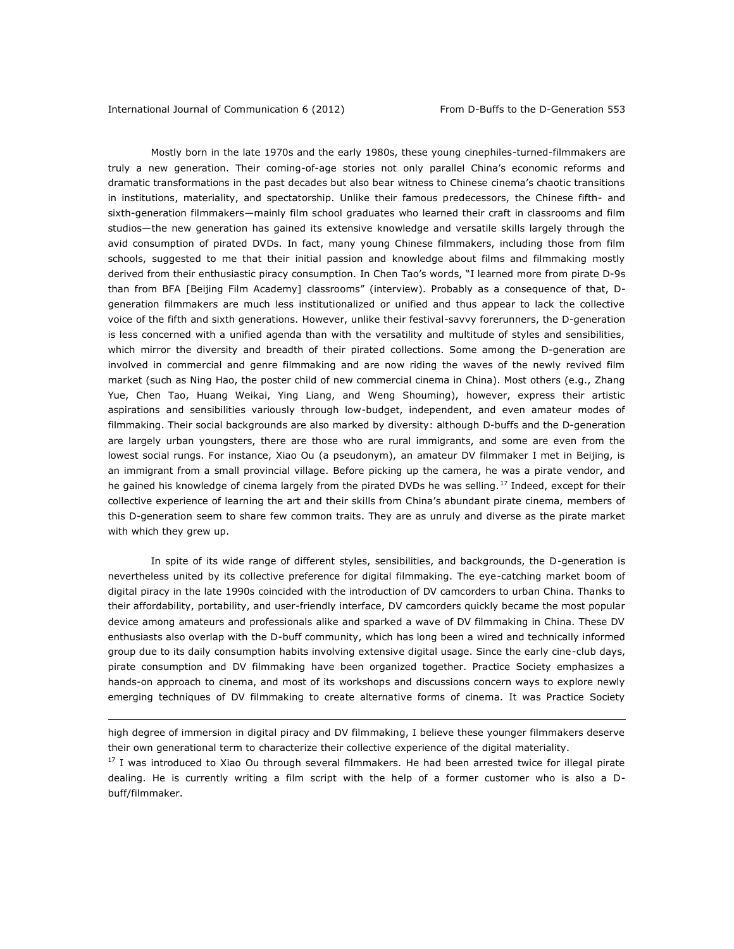Mostly born in the late 1970s and the early 1980s, these young cinephiles-turned-filmmakers are truly a new generation. Their coming-of-age stories not only parallel China's economic reforms and dramatic transformations in the past decades but also bear witness to Chinese cinema's chaotic transitions in institutions, materiality, and spectatorship. Unlike their famous predecessors, the Chinese fifth- and sixth-generation filmmakers—mainly film school graduates who learned their craft in classrooms and film studios—the new generation has gained its extensive knowledge and versatile skills largely through the avid consumption of pirated DVDs. In fact, many young Chinese filmmakers, including those from film schools, suggested to me that their initial passion and knowledge about films and filmmaking mostly derived from their enthusiastic piracy consumption. In Chen Tao's words, "I learned more from pirate D-9s than from BFA [Beijing Film Academy] classrooms" (interview). Probably as a consequence of that, Dgeneration filmmakers are much less institutionalized or unified and thus appear to lack the collective voice of the fifth and sixth generations. However, unlike their festival-savvy forerunners, the D-generation is less concerned with a unified agenda than with the versatility and multitude of styles and sensibilities, which mirror the diversity and breadth of their pirated collections. Some among the D-generation are involved in commercial and genre filmmaking and are now riding the waves of the newly revived film market (such as Ning Hao, the poster child of new commercial cinema in China). Most others (e.g., Zhang Yue, Chen Tao, Huang Weikai, Ying Liang, and Weng Shouming), however, express their artistic aspirations and sensibilities variously through low-budget, independent, and even amateur modes of filmmaking. Their social backgrounds are also marked by diversity: although D-buffs and the D-generation are largely urban youngsters, there are those who are rural immigrants, and some are even from the lowest social rungs. For instance, Xiao Ou (a pseudonym), an amateur DV filmmaker I met in Beijing, is an immigrant from a small provincial village. Before picking up the camera, he was a pirate vendor, and he gained his knowledge of cinema largely from the pirated DVDs he was selling.<sup>17</sup> Indeed, except for their collective experience of learning the art and their skills from China's abundant pirate cinema, members of this D-generation seem to share few common traits. They are as unruly and diverse as the pirate market with which they grew up.

In spite of its wide range of different styles, sensibilities, and backgrounds, the D-generation is nevertheless united by its collective preference for digital filmmaking. The eye-catching market boom of digital piracy in the late 1990s coincided with the introduction of DV camcorders to urban China. Thanks to their affordability, portability, and user-friendly interface, DV camcorders quickly became the most popular device among amateurs and professionals alike and sparked a wave of DV filmmaking in China. These DV enthusiasts also overlap with the D-buff community, which has long been a wired and technically informed group due to its daily consumption habits involving extensive digital usage. Since the early cine-club days, pirate consumption and DV filmmaking have been organized together. Practice Society emphasizes a hands-on approach to cinema, and most of its workshops and discussions concern ways to explore newly emerging techniques of DV filmmaking to create alternative forms of cinema. It was Practice Society

high degree of immersion in digital piracy and DV filmmaking, I believe these younger filmmakers deserve their own generational term to characterize their collective experience of the digital materiality.

<sup>17</sup> I was introduced to Xiao Ou through several filmmakers. He had been arrested twice for illegal pirate dealing. He is currently writing a film script with the help of a former customer who is also a Dbuff/filmmaker.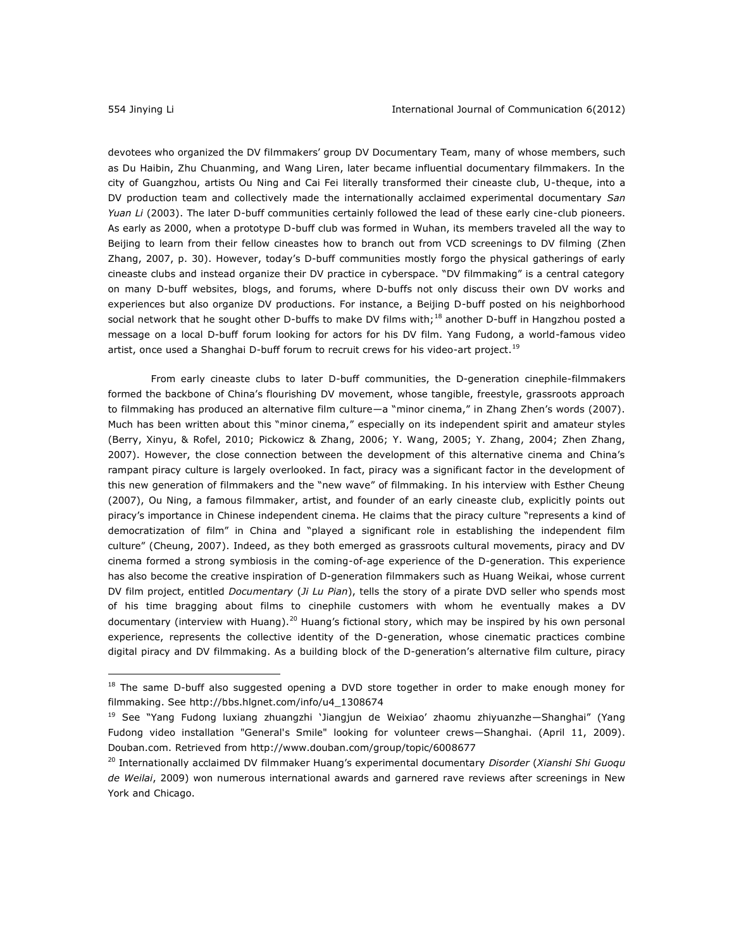devotees who organized the DV filmmakers' group DV Documentary Team, many of whose members, such as Du Haibin, Zhu Chuanming, and Wang Liren, later became influential documentary filmmakers. In the city of Guangzhou, artists Ou Ning and Cai Fei literally transformed their cineaste club, U-theque, into a DV production team and collectively made the internationally acclaimed experimental documentary *San Yuan Li* (2003). The later D-buff communities certainly followed the lead of these early cine-club pioneers. As early as 2000, when a prototype D-buff club was formed in Wuhan, its members traveled all the way to Beijing to learn from their fellow cineastes how to branch out from VCD screenings to DV filming (Zhen Zhang, 2007, p. 30). However, today's D-buff communities mostly forgo the physical gatherings of early cineaste clubs and instead organize their DV practice in cyberspace. "DV filmmaking" is a central category on many D-buff websites, blogs, and forums, where D-buffs not only discuss their own DV works and experiences but also organize DV productions. For instance, a Beijing D-buff posted on his neighborhood social network that he sought other D-buffs to make DV films with;<sup>18</sup> another D-buff in Hangzhou posted a message on a local D-buff forum looking for actors for his DV film. Yang Fudong, a world-famous video artist, once used a Shanghai D-buff forum to recruit crews for his video-art project.<sup>19</sup>

From early cineaste clubs to later D-buff communities, the D-generation cinephile-filmmakers formed the backbone of China's flourishing DV movement, whose tangible, freestyle, grassroots approach to filmmaking has produced an alternative film culture—a "minor cinema," in Zhang Zhen's words (2007). Much has been written about this "minor cinema," especially on its independent spirit and amateur styles (Berry, Xinyu, & Rofel, 2010; Pickowicz & Zhang, 2006; Y. Wang, 2005; Y. Zhang, 2004; Zhen Zhang, 2007). However, the close connection between the development of this alternative cinema and China's rampant piracy culture is largely overlooked. In fact, piracy was a significant factor in the development of this new generation of filmmakers and the "new wave" of filmmaking. In his interview with Esther Cheung (2007), Ou Ning, a famous filmmaker, artist, and founder of an early cineaste club, explicitly points out piracy's importance in Chinese independent cinema. He claims that the piracy culture "represents a kind of democratization of film" in China and "played a significant role in establishing the independent film culture" (Cheung, 2007). Indeed, as they both emerged as grassroots cultural movements, piracy and DV cinema formed a strong symbiosis in the coming-of-age experience of the D-generation. This experience has also become the creative inspiration of D-generation filmmakers such as Huang Weikai, whose current DV film project, entitled *Documentary* (*Ji Lu Pian*), tells the story of a pirate DVD seller who spends most of his time bragging about films to cinephile customers with whom he eventually makes a DV documentary (interview with Huang).<sup>20</sup> Huang's fictional story, which may be inspired by his own personal experience, represents the collective identity of the D-generation, whose cinematic practices combine digital piracy and DV filmmaking. As a building block of the D-generation's alternative film culture, piracy

<sup>&</sup>lt;sup>18</sup> The same D-buff also suggested opening a DVD store together in order to make enough money for filmmaking. See [http://bbs.hlgnet.com/info/u4\\_1308674](http://bbs.hlgnet.com/info/u4_1308674)

<sup>&</sup>lt;sup>19</sup> See "Yang Fudong luxiang zhuangzhi 'Jiangjun de Weixiao' zhaomu zhiyuanzhe—Shanghai" (Yang Fudong video installation "General's Smile" looking for volunteer crews—Shanghai. (April 11, 2009). Douban.com. Retrieved from http://www.douban.com/group/topic/6008677

<sup>20</sup> Internationally acclaimed DV filmmaker Huang's experimental documentary *Disorder* (*Xianshi Shi Guoqu de Weilai*, 2009) won numerous international awards and garnered rave reviews after screenings in New York and Chicago.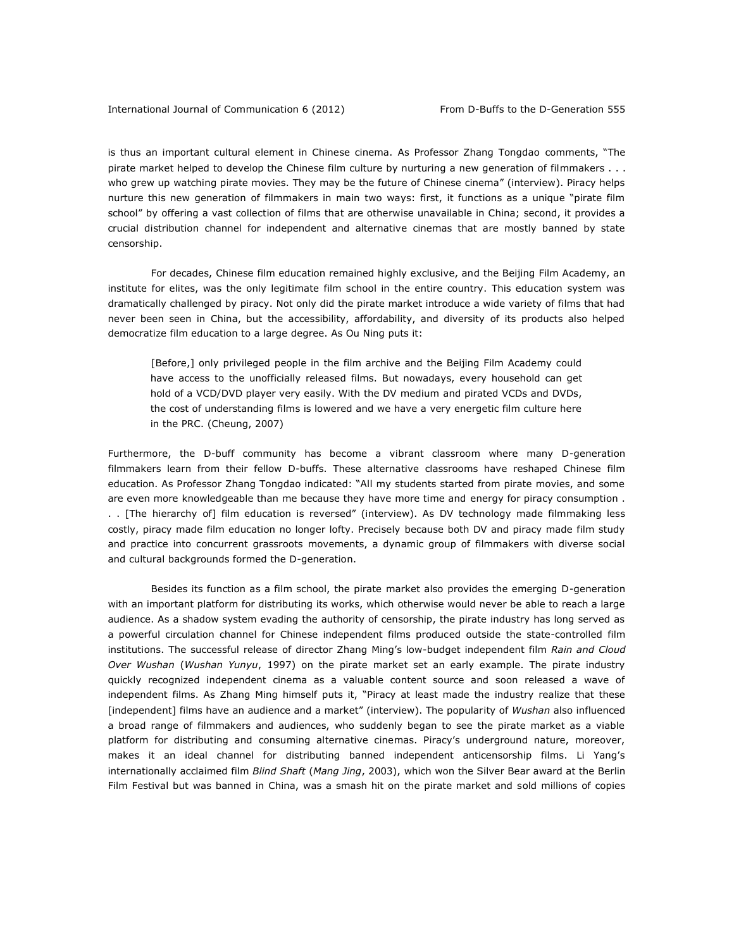is thus an important cultural element in Chinese cinema. As Professor Zhang Tongdao comments, "The pirate market helped to develop the Chinese film culture by nurturing a new generation of filmmakers . . . who grew up watching pirate movies. They may be the future of Chinese cinema" (interview). Piracy helps nurture this new generation of filmmakers in main two ways: first, it functions as a unique "pirate film school" by offering a vast collection of films that are otherwise unavailable in China; second, it provides a crucial distribution channel for independent and alternative cinemas that are mostly banned by state censorship.

For decades, Chinese film education remained highly exclusive, and the Beijing Film Academy, an institute for elites, was the only legitimate film school in the entire country. This education system was dramatically challenged by piracy. Not only did the pirate market introduce a wide variety of films that had never been seen in China, but the accessibility, affordability, and diversity of its products also helped democratize film education to a large degree. As Ou Ning puts it:

[Before,] only privileged people in the film archive and the Beijing Film Academy could have access to the unofficially released films. But nowadays, every household can get hold of a VCD/DVD player very easily. With the DV medium and pirated VCDs and DVDs, the cost of understanding films is lowered and we have a very energetic film culture here in the PRC. (Cheung, 2007)

Furthermore, the D-buff community has become a vibrant classroom where many D-generation filmmakers learn from their fellow D-buffs. These alternative classrooms have reshaped Chinese film education. As Professor Zhang Tongdao indicated: "All my students started from pirate movies, and some are even more knowledgeable than me because they have more time and energy for piracy consumption . . . [The hierarchy of] film education is reversed" (interview). As DV technology made filmmaking less costly, piracy made film education no longer lofty. Precisely because both DV and piracy made film study and practice into concurrent grassroots movements, a dynamic group of filmmakers with diverse social and cultural backgrounds formed the D-generation.

Besides its function as a film school, the pirate market also provides the emerging D-generation with an important platform for distributing its works, which otherwise would never be able to reach a large audience. As a shadow system evading the authority of censorship, the pirate industry has long served as a powerful circulation channel for Chinese independent films produced outside the state-controlled film institutions. The successful release of director Zhang Ming's low-budget independent film *Rain and Cloud Over Wushan* (*Wushan Yunyu*, 1997) on the pirate market set an early example. The pirate industry quickly recognized independent cinema as a valuable content source and soon released a wave of independent films. As Zhang Ming himself puts it, "Piracy at least made the industry realize that these [independent] films have an audience and a market" (interview). The popularity of *Wushan* also influenced a broad range of filmmakers and audiences, who suddenly began to see the pirate market as a viable platform for distributing and consuming alternative cinemas. Piracy's underground nature, moreover, makes it an ideal channel for distributing banned independent anticensorship films. Li Yang's internationally acclaimed film *Blind Shaft* (*Mang Jing*, 2003), which won the Silver Bear award at the Berlin Film Festival but was banned in China, was a smash hit on the pirate market and sold millions of copies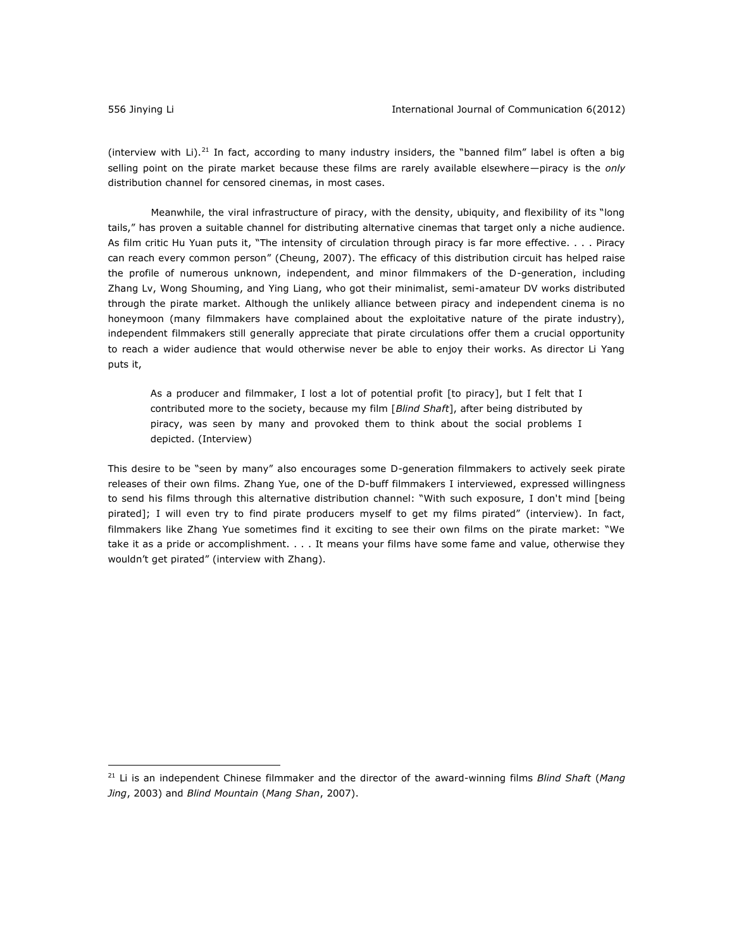(interview with Li).<sup>21</sup> In fact, according to many industry insiders, the "banned film" label is often a big selling point on the pirate market because these films are rarely available elsewhere—piracy is the *only* distribution channel for censored cinemas, in most cases.

Meanwhile, the viral infrastructure of piracy, with the density, ubiquity, and flexibility of its "long tails," has proven a suitable channel for distributing alternative cinemas that target only a niche audience. As film critic Hu Yuan puts it, "The intensity of circulation through piracy is far more effective. . . . Piracy can reach every common person" (Cheung, 2007). The efficacy of this distribution circuit has helped raise the profile of numerous unknown, independent, and minor filmmakers of the D-generation, including Zhang Lv, Wong Shouming, and Ying Liang, who got their minimalist, semi-amateur DV works distributed through the pirate market. Although the unlikely alliance between piracy and independent cinema is no honeymoon (many filmmakers have complained about the exploitative nature of the pirate industry), independent filmmakers still generally appreciate that pirate circulations offer them a crucial opportunity to reach a wider audience that would otherwise never be able to enjoy their works. As director Li Yang puts it,

As a producer and filmmaker, I lost a lot of potential profit [to piracy], but I felt that I contributed more to the society, because my film [*Blind Shaft*], after being distributed by piracy, was seen by many and provoked them to think about the social problems I depicted. (Interview)

This desire to be "seen by many" also encourages some D-generation filmmakers to actively seek pirate releases of their own films. Zhang Yue, one of the D-buff filmmakers I interviewed, expressed willingness to send his films through this alternative distribution channel: "With such exposure, I don't mind [being pirated]; I will even try to find pirate producers myself to get my films pirated" (interview). In fact, filmmakers like Zhang Yue sometimes find it exciting to see their own films on the pirate market: "We take it as a pride or accomplishment. . . . It means your films have some fame and value, otherwise they wouldn't get pirated" (interview with Zhang).

<sup>21</sup> Li is an independent Chinese filmmaker and the director of the award-winning films *Blind Shaft* (*Mang Jing*, 2003) and *Blind Mountain* (*Mang Shan*, 2007).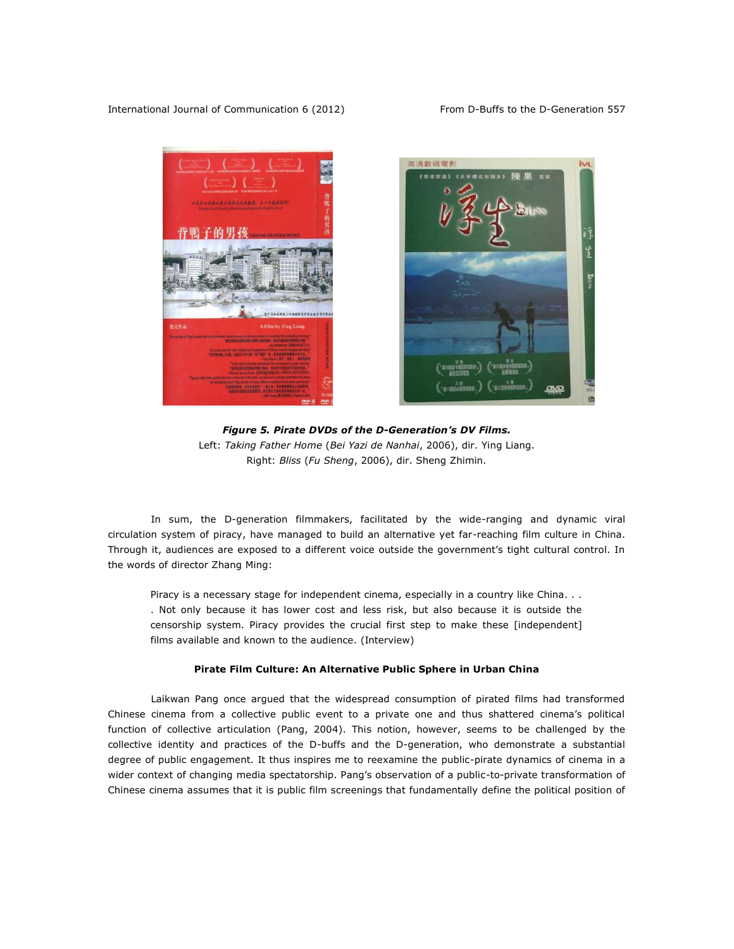International Journal of Communication 6 (2012) From D-Buffs to the D-Generation 557





*Figure 5. Pirate DVDs of the D-Generation's DV Films.*  Left: *Taking Father Home* (*Bei Yazi de Nanhai*, 2006), dir. Ying Liang. Right: *Bliss* (*Fu Sheng*, 2006), dir. Sheng Zhimin.

In sum, the D-generation filmmakers, facilitated by the wide-ranging and dynamic viral circulation system of piracy, have managed to build an alternative yet far-reaching film culture in China. Through it, audiences are exposed to a different voice outside the government's tight cultural control. In the words of director Zhang Ming:

Piracy is a necessary stage for independent cinema, especially in a country like China. . . . Not only because it has lower cost and less risk, but also because it is outside the censorship system. Piracy provides the crucial first step to make these [independent] films available and known to the audience. (Interview)

### **Pirate Film Culture: An Alternative Public Sphere in Urban China**

Laikwan Pang once argued that the widespread consumption of pirated films had transformed Chinese cinema from a collective public event to a private one and thus shattered cinema's political function of collective articulation (Pang, 2004). This notion, however, seems to be challenged by the collective identity and practices of the D-buffs and the D-generation, who demonstrate a substantial degree of public engagement. It thus inspires me to reexamine the public-pirate dynamics of cinema in a wider context of changing media spectatorship. Pang's observation of a public-to-private transformation of Chinese cinema assumes that it is public film screenings that fundamentally define the political position of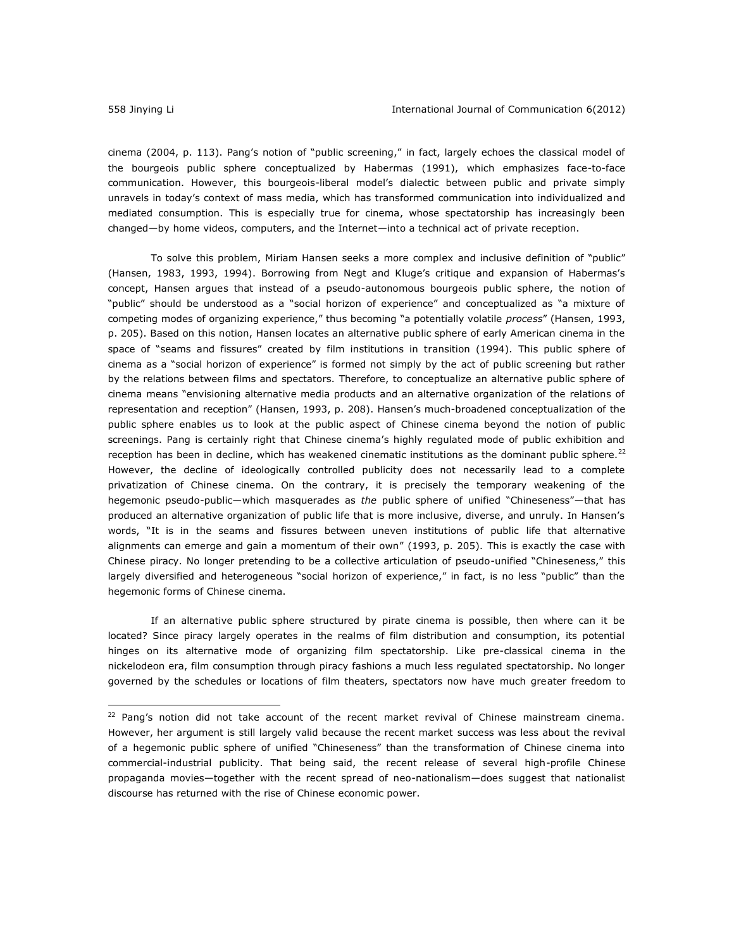cinema (2004, p. 113). Pang's notion of "public screening," in fact, largely echoes the classical model of the bourgeois public sphere conceptualized by Habermas (1991), which emphasizes face-to-face communication. However, this bourgeois-liberal model's dialectic between public and private simply unravels in today's context of mass media, which has transformed communication into individualized and mediated consumption. This is especially true for cinema, whose spectatorship has increasingly been changed—by home videos, computers, and the Internet—into a technical act of private reception.

To solve this problem, Miriam Hansen seeks a more complex and inclusive definition of "public" (Hansen, 1983, 1993, 1994). Borrowing from Negt and Kluge's critique and expansion of Habermas's concept, Hansen argues that instead of a pseudo-autonomous bourgeois public sphere, the notion of "public" should be understood as a "social horizon of experience" and conceptualized as "a mixture of competing modes of organizing experience," thus becoming "a potentially volatile *process*" (Hansen, 1993, p. 205). Based on this notion, Hansen locates an alternative public sphere of early American cinema in the space of "seams and fissures" created by film institutions in transition (1994). This public sphere of cinema as a "social horizon of experience" is formed not simply by the act of public screening but rather by the relations between films and spectators. Therefore, to conceptualize an alternative public sphere of cinema means "envisioning alternative media products and an alternative organization of the relations of representation and reception" (Hansen, 1993, p. 208). Hansen's much-broadened conceptualization of the public sphere enables us to look at the public aspect of Chinese cinema beyond the notion of public screenings. Pang is certainly right that Chinese cinema's highly regulated mode of public exhibition and reception has been in decline, which has weakened cinematic institutions as the dominant public sphere.<sup>22</sup> However, the decline of ideologically controlled publicity does not necessarily lead to a complete privatization of Chinese cinema. On the contrary, it is precisely the temporary weakening of the hegemonic pseudo-public—which masquerades as *the* public sphere of unified "Chineseness"—that has produced an alternative organization of public life that is more inclusive, diverse, and unruly. In Hansen's words, "It is in the seams and fissures between uneven institutions of public life that alternative alignments can emerge and gain a momentum of their own" (1993, p. 205). This is exactly the case with Chinese piracy. No longer pretending to be a collective articulation of pseudo-unified "Chineseness," this largely diversified and heterogeneous "social horizon of experience," in fact, is no less "public" than the hegemonic forms of Chinese cinema.

If an alternative public sphere structured by pirate cinema is possible, then where can it be located? Since piracy largely operates in the realms of film distribution and consumption, its potential hinges on its alternative mode of organizing film spectatorship. Like pre-classical cinema in the nickelodeon era, film consumption through piracy fashions a much less regulated spectatorship. No longer governed by the schedules or locations of film theaters, spectators now have much greater freedom to

 $22$  Pang's notion did not take account of the recent market revival of Chinese mainstream cinema. However, her argument is still largely valid because the recent market success was less about the revival of a hegemonic public sphere of unified "Chineseness" than the transformation of Chinese cinema into commercial-industrial publicity. That being said, the recent release of several high-profile Chinese propaganda movies—together with the recent spread of neo-nationalism—does suggest that nationalist discourse has returned with the rise of Chinese economic power.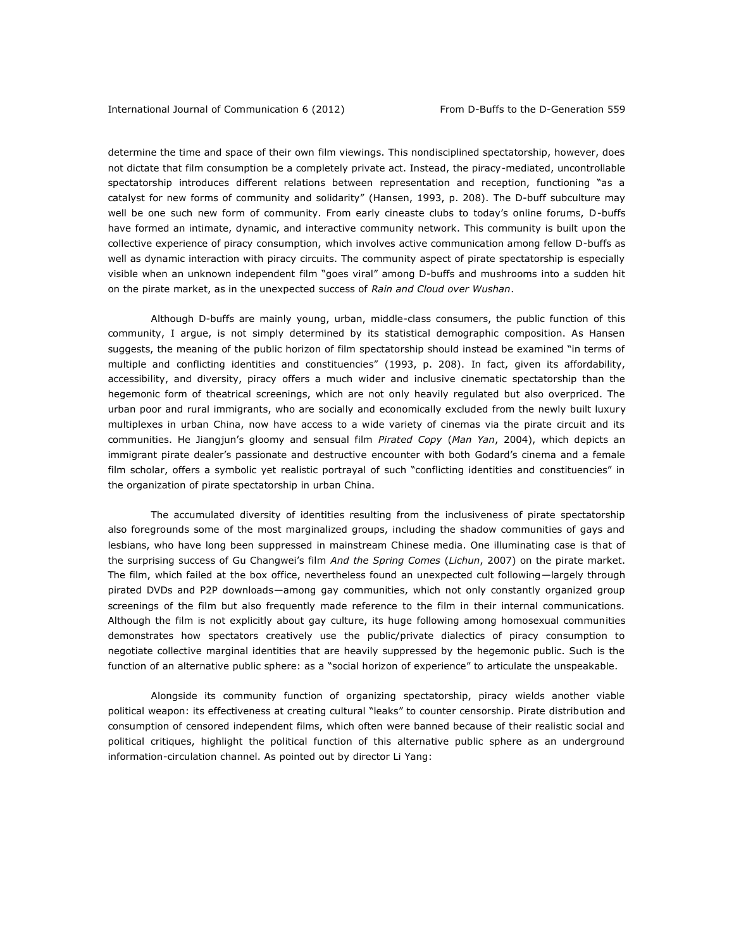determine the time and space of their own film viewings. This nondisciplined spectatorship, however, does not dictate that film consumption be a completely private act. Instead, the piracy-mediated, uncontrollable spectatorship introduces different relations between representation and reception, functioning "as a catalyst for new forms of community and solidarity" (Hansen, 1993, p. 208). The D-buff subculture may well be one such new form of community. From early cineaste clubs to today's online forums, D-buffs have formed an intimate, dynamic, and interactive community network. This community is built upon the collective experience of piracy consumption, which involves active communication among fellow D-buffs as well as dynamic interaction with piracy circuits. The community aspect of pirate spectatorship is especially visible when an unknown independent film "goes viral" among D-buffs and mushrooms into a sudden hit on the pirate market, as in the unexpected success of *Rain and Cloud over Wushan*.

Although D-buffs are mainly young, urban, middle-class consumers, the public function of this community, I argue, is not simply determined by its statistical demographic composition. As Hansen suggests, the meaning of the public horizon of film spectatorship should instead be examined "in terms of multiple and conflicting identities and constituencies" (1993, p. 208). In fact, given its affordability, accessibility, and diversity, piracy offers a much wider and inclusive cinematic spectatorship than the hegemonic form of theatrical screenings, which are not only heavily regulated but also overpriced. The urban poor and rural immigrants, who are socially and economically excluded from the newly built luxury multiplexes in urban China, now have access to a wide variety of cinemas via the pirate circuit and its communities. He Jiangjun's gloomy and sensual film *Pirated Copy* (*Man Yan*, 2004), which depicts an immigrant pirate dealer's passionate and destructive encounter with both Godard's cinema and a female film scholar, offers a symbolic yet realistic portrayal of such "conflicting identities and constituencies" in the organization of pirate spectatorship in urban China.

The accumulated diversity of identities resulting from the inclusiveness of pirate spectatorship also foregrounds some of the most marginalized groups, including the shadow communities of gays and lesbians, who have long been suppressed in mainstream Chinese media. One illuminating case is that of the surprising success of Gu Changwei's film *And the Spring Comes* (*Lichun*, 2007) on the pirate market. The film, which failed at the box office, nevertheless found an unexpected cult following—largely through pirated DVDs and P2P downloads—among gay communities, which not only constantly organized group screenings of the film but also frequently made reference to the film in their internal communications. Although the film is not explicitly about gay culture, its huge following among homosexual communities demonstrates how spectators creatively use the public/private dialectics of piracy consumption to negotiate collective marginal identities that are heavily suppressed by the hegemonic public. Such is the function of an alternative public sphere: as a "social horizon of experience" to articulate the unspeakable.

Alongside its community function of organizing spectatorship, piracy wields another viable political weapon: its effectiveness at creating cultural "leaks" to counter censorship. Pirate distribution and consumption of censored independent films, which often were banned because of their realistic social and political critiques, highlight the political function of this alternative public sphere as an underground information-circulation channel. As pointed out by director Li Yang: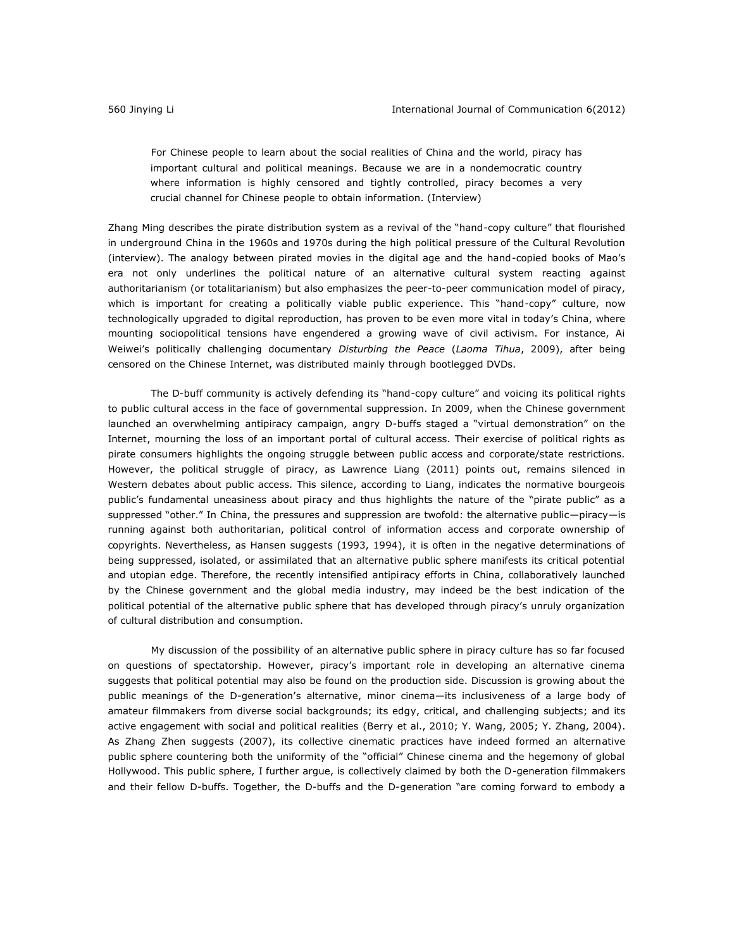For Chinese people to learn about the social realities of China and the world, piracy has important cultural and political meanings. Because we are in a nondemocratic country where information is highly censored and tightly controlled, piracy becomes a very crucial channel for Chinese people to obtain information. (Interview)

Zhang Ming describes the pirate distribution system as a revival of the "hand-copy culture" that flourished in underground China in the 1960s and 1970s during the high political pressure of the Cultural Revolution (interview). The analogy between pirated movies in the digital age and the hand-copied books of Mao's era not only underlines the political nature of an alternative cultural system reacting against authoritarianism (or totalitarianism) but also emphasizes the peer-to-peer communication model of piracy, which is important for creating a politically viable public experience. This "hand-copy" culture, now technologically upgraded to digital reproduction, has proven to be even more vital in today's China, where mounting sociopolitical tensions have engendered a growing wave of civil activism. For instance, Ai Weiwei's politically challenging documentary *Disturbing the Peace* (*Laoma Tihua*, 2009), after being censored on the Chinese Internet, was distributed mainly through bootlegged DVDs.

The D-buff community is actively defending its "hand-copy culture" and voicing its political rights to public cultural access in the face of governmental suppression. In 2009, when the Chinese government launched an overwhelming antipiracy campaign, angry D-buffs staged a "virtual demonstration" on the Internet, mourning the loss of an important portal of cultural access. Their exercise of political rights as pirate consumers highlights the ongoing struggle between public access and corporate/state restrictions. However, the political struggle of piracy, as Lawrence Liang (2011) points out, remains silenced in Western debates about public access. This silence, according to Liang, indicates the normative bourgeois public's fundamental uneasiness about piracy and thus highlights the nature of the "pirate public" as a suppressed "other." In China, the pressures and suppression are twofold: the alternative public-piracy-is running against both authoritarian, political control of information access and corporate ownership of copyrights. Nevertheless, as Hansen suggests (1993, 1994), it is often in the negative determinations of being suppressed, isolated, or assimilated that an alternative public sphere manifests its critical potential and utopian edge. Therefore, the recently intensified antipiracy efforts in China, collaboratively launched by the Chinese government and the global media industry, may indeed be the best indication of the political potential of the alternative public sphere that has developed through piracy's unruly organization of cultural distribution and consumption.

My discussion of the possibility of an alternative public sphere in piracy culture has so far focused on questions of spectatorship. However, piracy's important role in developing an alternative cinema suggests that political potential may also be found on the production side. Discussion is growing about the public meanings of the D-generation's alternative, minor cinema—its inclusiveness of a large body of amateur filmmakers from diverse social backgrounds; its edgy, critical, and challenging subjects; and its active engagement with social and political realities (Berry et al., 2010; Y. Wang, 2005; Y. Zhang, 2004). As Zhang Zhen suggests (2007), its collective cinematic practices have indeed formed an alternative public sphere countering both the uniformity of the "official" Chinese cinema and the hegemony of global Hollywood. This public sphere, I further argue, is collectively claimed by both the D-generation filmmakers and their fellow D-buffs. Together, the D-buffs and the D-generation "are coming forward to embody a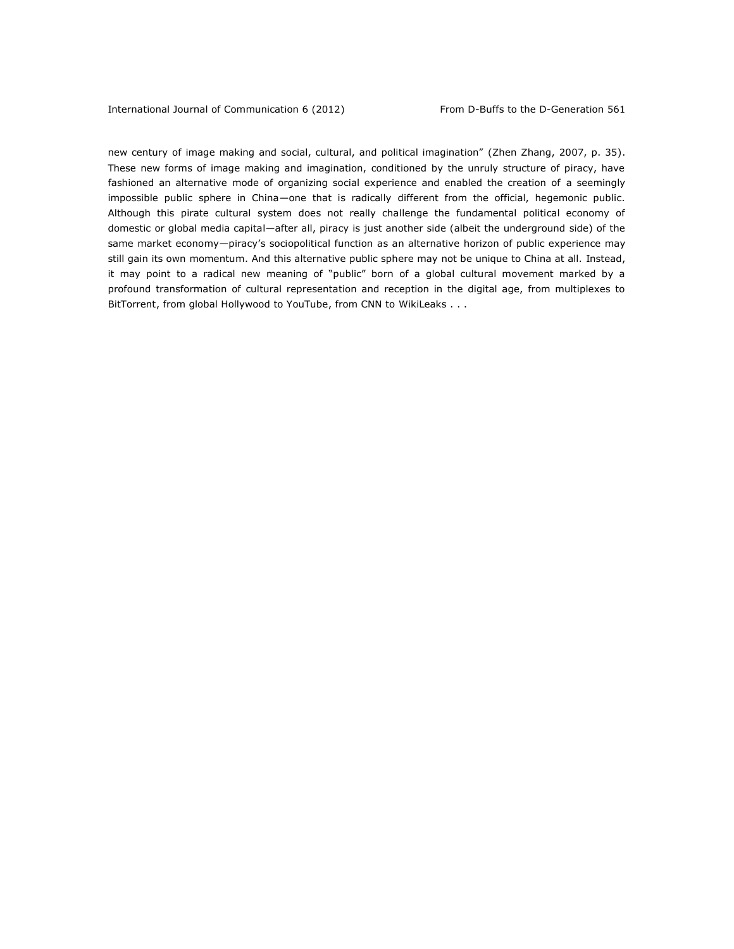new century of image making and social, cultural, and political imagination" (Zhen Zhang, 2007, p. 35). These new forms of image making and imagination, conditioned by the unruly structure of piracy, have fashioned an alternative mode of organizing social experience and enabled the creation of a seemingly impossible public sphere in China—one that is radically different from the official, hegemonic public. Although this pirate cultural system does not really challenge the fundamental political economy of domestic or global media capital—after all, piracy is just another side (albeit the underground side) of the same market economy-piracy's sociopolitical function as an alternative horizon of public experience may still gain its own momentum. And this alternative public sphere may not be unique to China at all. Instead, it may point to a radical new meaning of "public" born of a global cultural movement marked by a profound transformation of cultural representation and reception in the digital age, from multiplexes to BitTorrent, from global Hollywood to YouTube, from CNN to WikiLeaks . . .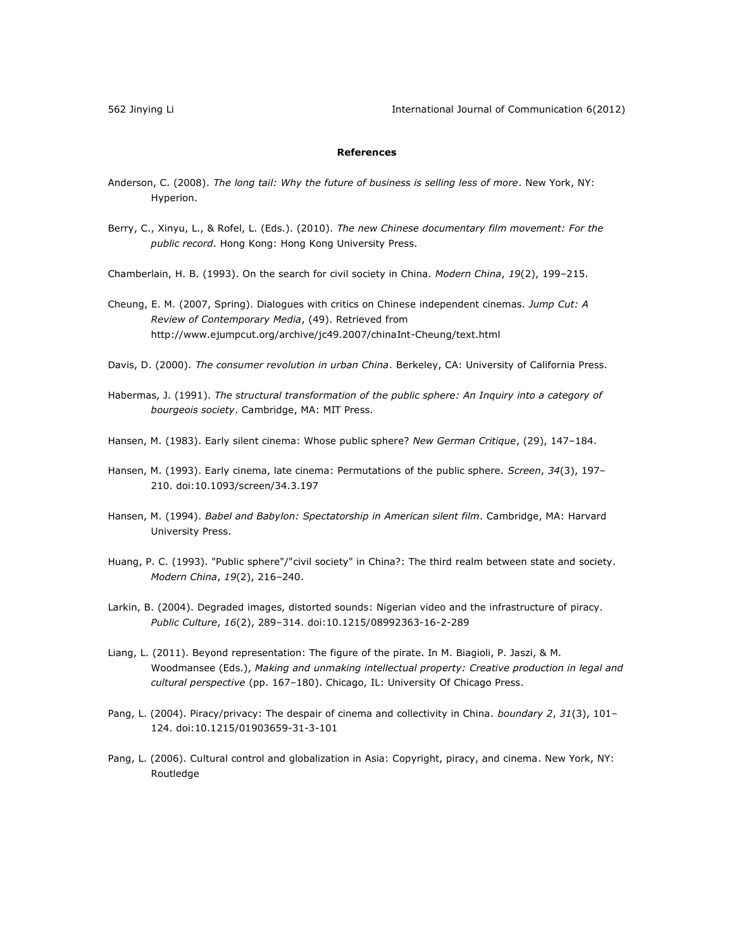### **References**

- Anderson, C. (2008). *The long tail: Why the future of business is selling less of more*. New York, NY: Hyperion.
- Berry, C., Xinyu, L., & Rofel, L. (Eds.). (2010). *The new Chinese documentary film movement: For the public record*. Hong Kong: Hong Kong University Press.
- Chamberlain, H. B. (1993). On the search for civil society in China. *Modern China*, *19*(2), 199–215.
- Cheung, E. M. (2007, Spring). Dialogues with critics on Chinese independent cinemas. *Jump Cut: A Review of Contemporary Media*, (49). Retrieved from <http://www.ejumpcut.org/archive/jc49.2007/chinaInt-Cheung/text.html>
- Davis, D. (2000). *The consumer revolution in urban China*. Berkeley, CA: University of California Press.
- Habermas, J. (1991). *The structural transformation of the public sphere: An Inquiry into a category of bourgeois society*. Cambridge, MA: MIT Press.
- Hansen, M. (1983). Early silent cinema: Whose public sphere? *New German Critique*, (29), 147–184.
- Hansen, M. (1993). Early cinema, late cinema: Permutations of the public sphere. *Screen*, *34*(3), 197– 210. doi:10.1093/screen/34.3.197
- Hansen, M. (1994). *Babel and Babylon: Spectatorship in American silent film*. Cambridge, MA: Harvard University Press.
- Huang, P. C. (1993). "Public sphere"/"civil society" in China?: The third realm between state and society. *Modern China*, *19*(2), 216–240.
- Larkin, B. (2004). Degraded images, distorted sounds: Nigerian video and the infrastructure of piracy. *Public Culture*, *16*(2), 289–314. doi:10.1215/08992363-16-2-289
- Liang, L. (2011). Beyond representation: The figure of the pirate. In M. Biagioli, P. Jaszi, & M. Woodmansee (Eds.), *Making and unmaking intellectual property: Creative production in legal and cultural perspective* (pp. 167–180). Chicago, IL: University Of Chicago Press.
- Pang, L. (2004). Piracy/privacy: The despair of cinema and collectivity in China. *boundary 2*, *31*(3), 101– 124. doi:10.1215/01903659-31-3-101
- Pang, L. (2006). Cultural control and globalization in Asia: Copyright, piracy, and cinema. New York, NY: Routledge